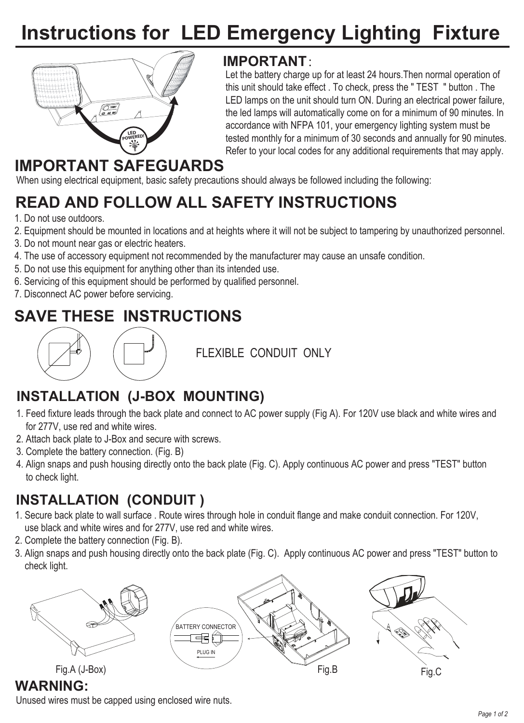# **Instructions for LED Emergency Lighting Fixture**



#### **IMPORTANT**:

Let the battery charge up for at least 24 hours.Then normal operation of this unit should take effect . To check, press the " TEST " button . The LED lamps on the unit should turn ON. During an electrical power failure, the led lamps will automatically come on for a minimum of 90 minutes. In accordance with NFPA 101, your emergency lighting system must be tested monthly for a minimum of 30 seconds and annually for 90 minutes. Refer to your local codes for any additional requirements that may apply.

## **IMPORTANT SAFEGUARDS**

When using electrical equipment, basic safety precautions should always be followed including the following:

# **READ AND FOLLOW ALL SAFETY INSTRUCTIONS**

- 1. Do not use outdoors.
- 2. Equipment should be mounted in locations and at heights where it will not be subject to tampering by unauthorized personnel.
- 3. Do not mount near gas or electric heaters.
- 4. The use of accessory equipment not recommended by the manufacturer may cause an unsafe condition.
- 5. Do not use this equipment for anything other than its intended use.
- 6. Servicing of this equipment should be performed by qualified personnel.
- 7. Disconnect AC power before servicing.

## **SAVE THESE INSTRUCTIONS**



FLEXIBLE CONDUIT ONLY

## **INSTALLATION (J-BOX MOUNTING)**

- 1. Feed fixture leads through the back plate and connect to AC power supply (Fig A). For 120V use black and white wires and for 277V, use red and white wires.
- 2. Attach back plate to J-Box and secure with screws.
- 3. Complete the battery connection. (Fig. B)
- 4. Align snaps and push housing directly onto the back plate (Fig. C). Apply continuous AC power and press "TEST" button to check light.

## **INSTALLATION (CONDUIT )**

- 1. Secure back plate to wall surface . Route wires through hole in conduit flange and make conduit connection. For 120V, use black and white wires and for 277V, use red and white wires.
- 2. Complete the battery connection (Fig. B).
- 3. Align snaps and push housing directly onto the back plate (Fig. C). Apply continuous AC power and press "TEST" button to check light.



#### **WARNING:**

Unused wires must be capped using enclosed wire nuts.